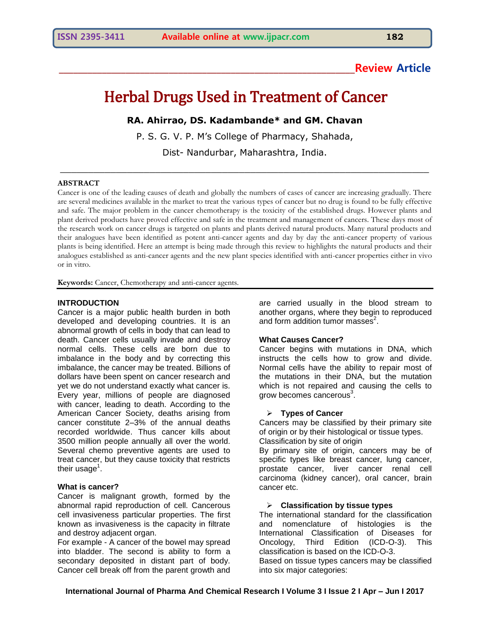# **\_\_\_\_\_\_\_\_\_\_\_\_\_\_\_\_\_\_\_\_\_\_\_\_\_\_\_\_\_\_\_\_\_\_\_\_\_\_\_\_\_\_\_\_\_\_\_\_\_\_\_\_\_\_\_\_\_\_\_\_\_\_Review Article**

# Herbal Drugs Used in Treatment of Cancer

**RA. Ahirrao, DS. Kadambande\* and GM. Chavan**

P. S. G. V. P. M's College of Pharmacy, Shahada,

Dist- Nandurbar, Maharashtra, India. \_\_\_\_\_\_\_\_\_\_\_\_\_\_\_\_\_\_\_\_\_\_\_\_\_\_\_\_\_\_\_\_\_\_\_\_\_\_\_\_\_\_\_\_\_\_\_\_\_\_\_\_\_\_\_\_\_\_\_\_\_\_\_\_\_\_

#### **ABSTRACT**

Cancer is one of the leading causes of death and globally the numbers of cases of cancer are increasing gradually. There are several medicines available in the market to treat the various types of cancer but no drug is found to be fully effective and safe. The major problem in the cancer chemotherapy is the toxicity of the established drugs. However plants and plant derived products have proved effective and safe in the treatment and management of cancers. These days most of the research work on cancer drugs is targeted on plants and plants derived natural products. Many natural products and their analogues have been identified as potent anti-cancer agents and day by day the anti-cancer property of various plants is being identified. Here an attempt is being made through this review to highlights the natural products and their analogues established as anti-cancer agents and the new plant species identified with anti-cancer properties either in vivo or in vitro.

**Keywords:** Cancer, Chemotherapy and anti-cancer agents.

#### **INTRODUCTION**

Cancer is a major public health burden in both developed and developing countries. It is an abnormal growth of cells in body that can lead to death. Cancer cells usually invade and destroy normal cells. These cells are born due to imbalance in the body and by correcting this imbalance, the cancer may be treated. Billions of dollars have been spent on cancer research and yet we do not understand exactly what cancer is. Every year, millions of people are diagnosed with cancer, leading to death. According to the American Cancer Society, deaths arising from cancer constitute 2–3% of the annual deaths recorded worldwide. Thus cancer kills about 3500 million people annually all over the world. Several chemo preventive agents are used to treat cancer, but they cause toxicity that restricts their usage<sup>1</sup>.

#### **What is cancer?**

Cancer is malignant growth, formed by the abnormal rapid reproduction of cell. Cancerous cell invasiveness particular properties. The first known as invasiveness is the capacity in filtrate and destroy adjacent organ.

For example - A cancer of the bowel may spread into bladder. The second is ability to form a secondary deposited in distant part of body. Cancer cell break off from the parent growth and are carried usually in the blood stream to another organs, where they begin to reproduced and form addition tumor masses $2$ .

#### **What Causes Cancer?**

Cancer begins with mutations in DNA, which instructs the cells how to grow and divide. Normal cells have the ability to repair most of the mutations in their DNA, but the mutation which is not repaired and causing the cells to grow becomes cancerous<sup>3</sup>.

#### **Types of Cancer**

Cancers may be classified by their primary site of origin or by their histological or tissue types. Classification by site of origin

By primary site of origin, cancers may be of specific types like breast cancer, lung cancer, prostate cancer, liver cancer renal cell carcinoma (kidney cancer), oral cancer, brain cancer etc.

#### **Classification by tissue types**

The international standard for the classification and nomenclature of histologies is the International Classification of Diseases for Oncology, Third Edition (ICD-O-3). This classification is based on the ICD-O-3.

Based on tissue types cancers may be classified into six major categories: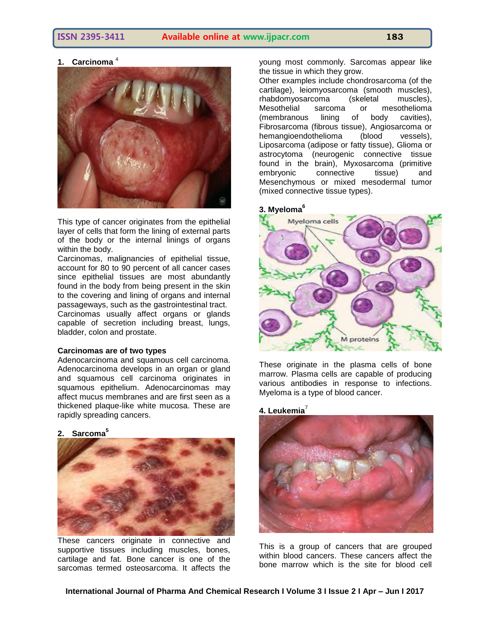# **1. Carcinoma** <sup>4</sup>



This type of cancer originates from the epithelial layer of cells that form the lining of external parts of the body or the internal linings of organs within the body.

Carcinomas, malignancies of epithelial tissue, account for 80 to 90 percent of all cancer cases since epithelial tissues are most abundantly found in the body from being present in the skin to the covering and lining of organs and internal passageways, such as the gastrointestinal tract. Carcinomas usually affect organs or glands capable of secretion including breast, lungs, bladder, colon and prostate.

#### **Carcinomas are of two types**

Adenocarcinoma and squamous cell carcinoma. Adenocarcinoma develops in an organ or gland and squamous cell carcinoma originates in squamous epithelium. Adenocarcinomas may affect mucus membranes and are first seen as a thickened plaque-like white mucosa. These are rapidly spreading cancers.

# **2. Sarcoma<sup>5</sup>**



These cancers originate in connective and supportive tissues including muscles, bones, cartilage and fat. Bone cancer is one of the sarcomas termed osteosarcoma. It affects the young most commonly. Sarcomas appear like the tissue in which they grow.

Other examples include chondrosarcoma (of the cartilage), leiomyosarcoma (smooth muscles), rhabdomyosarcoma (skeletal muscles), Mesothelial sarcoma or mesothelioma<br>(membranous lining of body cavities), (membranous lining of body cavities), Fibrosarcoma (fibrous tissue), Angiosarcoma or hemangioendothelioma (blood vessels), Liposarcoma (adipose or fatty tissue), Glioma or astrocytoma (neurogenic connective tissue found in the brain), Myxosarcoma (primitive embryonic connective tissue) and Mesenchymous or mixed mesodermal tumor (mixed connective tissue types).

#### **3. Myeloma<sup>6</sup>**



These originate in the plasma cells of bone marrow. Plasma cells are capable of producing various antibodies in response to infections. Myeloma is a type of blood cancer.

#### **4. Leukemia**<sup>7</sup>



This is a group of cancers that are grouped within blood cancers. These cancers affect the bone marrow which is the site for blood cell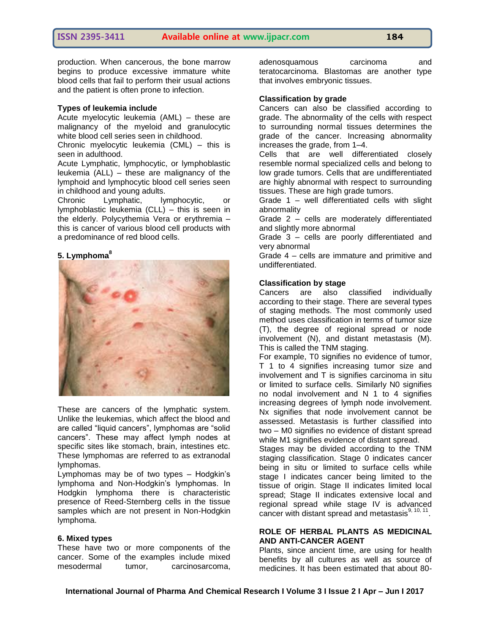production. When cancerous, the bone marrow begins to produce excessive immature white blood cells that fail to perform their usual actions and the patient is often prone to infection.

#### **Types of leukemia include**

Acute myelocytic leukemia (AML) – these are malignancy of the myeloid and granulocytic white blood cell series seen in childhood.

Chronic myelocytic leukemia (CML) – this is seen in adulthood.

Acute Lymphatic, lymphocytic, or lymphoblastic leukemia (ALL) – these are malignancy of the lymphoid and lymphocytic blood cell series seen in childhood and young adults.

Chronic Lymphatic, lymphocytic, or lymphoblastic leukemia (CLL) – this is seen in the elderly. Polycythemia Vera or erythremia – this is cancer of various blood cell products with a predominance of red blood cells.

# **5. Lymphoma<sup>8</sup>**



These are cancers of the lymphatic system. Unlike the leukemias, which affect the blood and are called "liquid cancers", lymphomas are "solid cancers". These may affect lymph nodes at specific sites like stomach, brain, intestines etc. These lymphomas are referred to as extranodal lymphomas.

Lymphomas may be of two types – Hodgkin's lymphoma and Non-Hodgkin's lymphomas. In Hodgkin lymphoma there is characteristic presence of Reed-Sternberg cells in the tissue samples which are not present in Non-Hodgkin lymphoma.

#### **6. Mixed types**

These have two or more components of the cancer. Some of the examples include mixed mesodermal tumor, carcinosarcoma,

adenosquamous carcinoma and teratocarcinoma. Blastomas are another type that involves embryonic tissues.

### **Classification by grade**

Cancers can also be classified according to grade. The abnormality of the cells with respect to surrounding normal tissues determines the grade of the cancer. Increasing abnormality increases the grade, from 1–4.

Cells that are well differentiated closely resemble normal specialized cells and belong to low grade tumors. Cells that are undifferentiated are highly abnormal with respect to surrounding tissues. These are high grade tumors.

Grade 1 – well differentiated cells with slight abnormality

Grade 2 – cells are moderately differentiated and slightly more abnormal

Grade 3 – cells are poorly differentiated and very abnormal

Grade 4 – cells are immature and primitive and undifferentiated.

#### **Classification by stage**

Cancers are also classified individually according to their stage. There are several types of staging methods. The most commonly used method uses classification in terms of tumor size (T), the degree of regional spread or node involvement (N), and distant metastasis (M). This is called the TNM staging.

For example, T0 signifies no evidence of tumor, T 1 to 4 signifies increasing tumor size and involvement and T is signifies carcinoma in situ or limited to surface cells. Similarly N0 signifies no nodal involvement and N 1 to 4 signifies increasing degrees of lymph node involvement. N<sub>x</sub> signifies that node involvement cannot be assessed. Metastasis is further classified into two – M0 signifies no evidence of distant spread while M1 signifies evidence of distant spread.

Stages may be divided according to the TNM staging classification. Stage 0 indicates cancer being in situ or limited to surface cells while stage I indicates cancer being limited to the tissue of origin. Stage II indicates limited local spread; Stage II indicates extensive local and regional spread while stage IV is advanced cancer with distant spread and metastasis $9, 10, 11$ .

#### **ROLE OF HERBAL PLANTS AS MEDICINAL AND ANTI-CANCER AGENT**

Plants, since ancient time, are using for health benefits by all cultures as well as source of medicines. It has been estimated that about 80-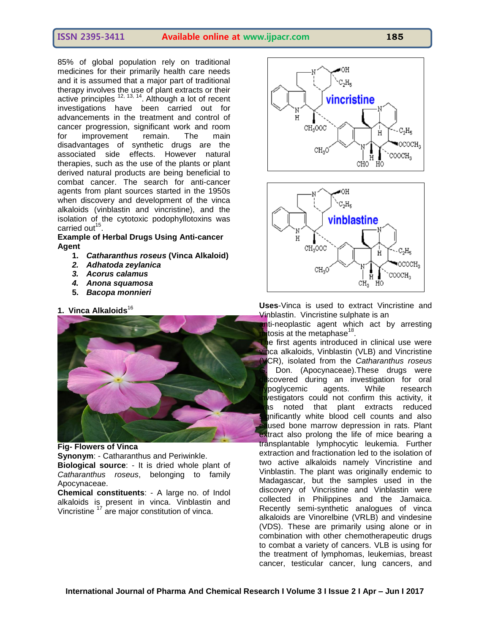85% of global population rely on traditional medicines for their primarily health care needs and it is assumed that a major part of traditional therapy involves the use of plant extracts or their active principles  $12, 13, 14$ . Although a lot of recent investigations have been carried out for advancements in the treatment and control of cancer progression, significant work and room for improvement remain. The main disadvantages of synthetic drugs are the associated side effects. However natural therapies, such as the use of the plants or plant derived natural products are being beneficial to combat cancer. The search for anti-cancer agents from plant sources started in the 1950s when discovery and development of the vinca alkaloids (vinblastin and vincristine), and the isolation of the cytotoxic podophyllotoxins was carried out<sup>15</sup>.

### **Example of Herbal Drugs Using Anti-cancer Agent**

- **1.** *Catharanthus roseus* **(Vinca Alkaloid)**
- *2. Adhatoda zeylanica*
- *3. Acorus calamus*
- *4. Anona squamosa*
- **5.** *Bacopa monnieri*

# **1. Vinca Alkaloids**<sup>16</sup>



### **Fig- Flowers of Vinca**

**Synonym**: - Catharanthus and Periwinkle.

**Biological source**: - It is dried whole plant of *Catharanthus roseus*, belonging to family Apocynaceae.

**Chemical constituents**: - A large no. of Indol alkaloids is present in vinca. Vinblastin and Vincristine <sup>17</sup> are major constitution of vinca.





**Uses**-Vinca is used to extract Vincristine and Vinblastin. Vincristine sulphate is an

nti-neoplastic agent which act by arresting mitosis at the metaphase<sup>18</sup>.

e first agents introduced in clinical use were vinca alkaloids, Vinblastin (VLB) and Vincristine (VCR), isolated from the *Catharanthus roseus* Don. (Apocynaceae).These drugs were covered during an investigation for oral poglycemic agents. While research  $l$ estigators could not confirm this activity, it as noted that plant extracts reduced inificantly white blood cell counts and also used bone marrow depression in rats. Plant extract also prolong the life of mice bearing a transplantable lymphocytic leukemia. Further extraction and fractionation led to the isolation of two active alkaloids namely Vincristine and Vinblastin. The plant was originally endemic to Madagascar, but the samples used in the discovery of Vincristine and Vinblastin were collected in Philippines and the Jamaica. Recently semi-synthetic analogues of vinca alkaloids are Vinorelbine (VRLB) and vindesine (VDS). These are primarily using alone or in combination with other chemotherapeutic drugs to combat a variety of cancers. VLB is using for the treatment of lymphomas, leukemias, breast cancer, testicular cancer, lung cancers, and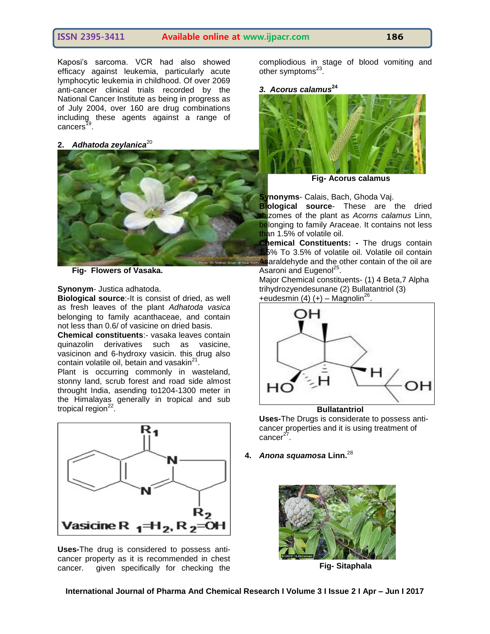Kaposi's sarcoma. VCR had also showed efficacy against leukemia, particularly acute lymphocytic leukemia in childhood. Of over 2069 anti-cancer clinical trials recorded by the National Cancer Institute as being in progress as of July 2004, over 160 are drug combinations including these agents against a range of cancers<sup>19</sup> .

# 2. Adhatoda zeylanica<sup>20</sup>



**Fig- Flowers of Vasaka.**

#### **Synonym**- Justica adhatoda.

**Biological source**:-It is consist of dried, as well as fresh leaves of the plant *Adhatoda vasica* belonging to family acanthaceae, and contain not less than 0.6/ of vasicine on dried basis.

**Chemical constituents**:- vasaka leaves contain quinazolin derivatives such as vasicine, vasicinon and 6-hydroxy vasicin. this drug also contain volatile oil, betain and vasakin $^{21}$ .

Plant is occurring commonly in wasteland, stonny land, scrub forest and road side almost throught India, asending to1204-1300 meter in the Himalayas generally in tropical and sub tropical region<sup>22</sup>.



**Uses-**The drug is considered to possess anticancer property as it is recommended in chest cancer. given specifically for checking the

compliodious in stage of blood vomiting and other symptoms<sup>23</sup>.

#### *3. Acorus calamus***<sup>24</sup>**



**Fig- Acorus calamus**

**Synonyms**- Calais, Bach, Ghoda Vaj.

**Biological source**- These are the dried hizomes of the plant as *Acorns calamus* Linn, belonging to family Araceae. It contains not less than 1.5% of volatile oil.

**Chemical Constituents: -** The drugs contain 1.5% To 3.5% of volatile oil. Volatile oil contain Asaraldehyde and the other contain of the oil are Asaroni and Eugenol<sup>25</sup>.

Major Chemical constituents- (1) 4 Beta,7 Alpha trihydrozyendesunane (2) Bullatantriol (3) +eudesmin (4)  $(+)$  – Magnolin<sup>26</sup>.



**Uses-**The Drugs is considerate to possess anticancer properties and it is using treatment of cancer<sup>27</sup>.

**4.** *Anona squamosa* **Linn.**<sup>28</sup>



**Fig- Sitaphala**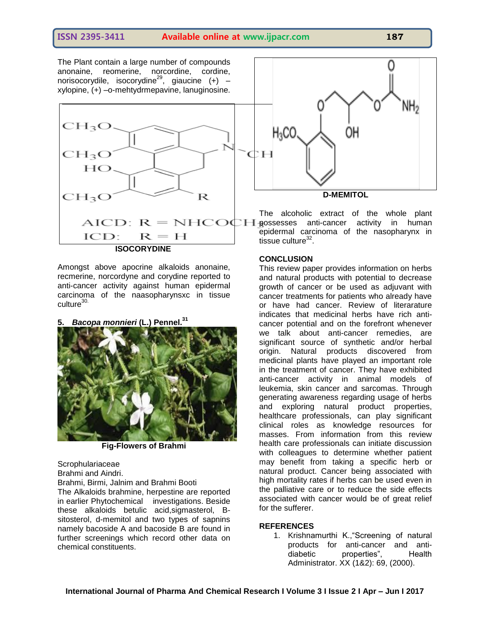The Plant contain a large number of compounds anonaine, reomerine, norcordine, cordine, norisocorydile, isocorydine<sup>29</sup>, giaucine (+) xylopine, (+) –o-mehtydrmepavine, lanuginosine.



Amongst above apocrine alkaloids anonaine, recmerine, norcordyne and corydine reported to anti-cancer activity against human epidermal carcinoma of the naasopharynsxc in tissue culture<sup>30.</sup>

**5.** *Bacopa monnieri* **(L.) Pennel.<sup>31</sup>**



**Fig-Flowers of Brahmi**

**Scrophulariaceae** Brahmi and Aindri. Brahmi, Birmi, Jalnim and Brahmi Booti

The Alkaloids brahmine, herpestine are reported in earlier Phytochemical investigations. Beside these alkaloids betulic acid,sigmasterol, Bsitosterol, d-memitol and two types of sapnins namely bacoside A and bacoside B are found in further screenings which record other data on chemical constituents.



The alcoholic extract of the whole plant  $\sum_{n=1}^{\infty}$  Possesses anti-cancer activity in human epidermal carcinoma of the nasopharynx in tissue culture $32$ .

#### **CONCLUSION**

This review paper provides information on herbs and natural products with potential to decrease growth of cancer or be used as adjuvant with cancer treatments for patients who already have or have had cancer. Review of literarature indicates that medicinal herbs have rich anticancer potential and on the forefront whenever we talk about anti-cancer remedies, are significant source of synthetic and/or herbal origin. Natural products discovered from medicinal plants have played an important role in the treatment of cancer. They have exhibited anti-cancer activity in animal models of leukemia, skin cancer and sarcomas. Through generating awareness regarding usage of herbs and exploring natural product properties, healthcare professionals, can play significant clinical roles as knowledge resources for masses. From information from this review health care professionals can initiate discussion with colleagues to determine whether patient may benefit from taking a specific herb or natural product. Cancer being associated with high mortality rates if herbs can be used even in the palliative care or to reduce the side effects associated with cancer would be of great relief for the sufferer.

#### **REFERENCES**

1. Krishnamurthi K.,"Screening of natural products for anti-cancer and antidiabetic properties", Health Administrator. XX (1&2): 69, (2000).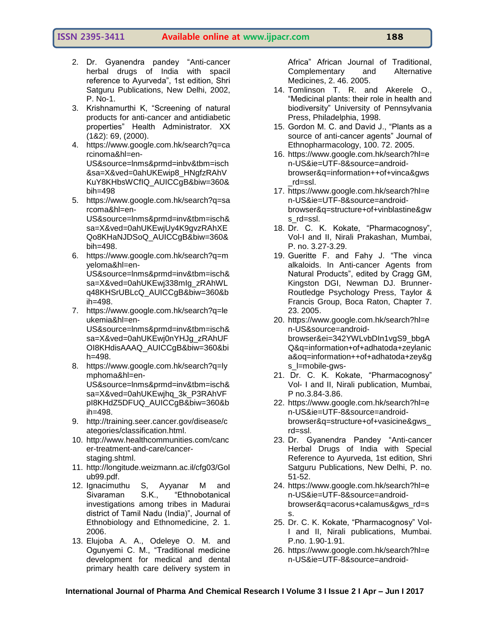- 2. Dr. Gyanendra pandey "Anti-cancer herbal drugs of India with spacil reference to Ayurveda", 1st edition, Shri Satguru Publications, New Delhi, 2002, P. No-1.
- 3. Krishnamurthi K, "Screening of natural products for anti-cancer and antidiabetic properties" Health Administrator. XX (1&2): 69, (2000).
- 4. https://www.google.com.hk/search?q=ca rcinoma&hl=en-US&source=lnms&prmd=inbv&tbm=isch &sa=X&ved=0ahUKEwip8\_HNgfzRAhV KuY8KHbsWCfIQ\_AUICCgB&biw=360& bih=498
- 5. [https://www.google.com.hk/search?q=sa](https://www.google.com.hk/search?q=sarcoma&hl=en-US&source=lnms&prmd=inv&tbm=isch&sa=X&ved=0ahUKEwjUy4K9gvzRAhXEQo8KHaNJDSoQ_AUICCgB&biw=360&bih=498) [rcoma&hl=en-](https://www.google.com.hk/search?q=sarcoma&hl=en-US&source=lnms&prmd=inv&tbm=isch&sa=X&ved=0ahUKEwjUy4K9gvzRAhXEQo8KHaNJDSoQ_AUICCgB&biw=360&bih=498)[US&source=lnms&prmd=inv&tbm=isch&](https://www.google.com.hk/search?q=sarcoma&hl=en-US&source=lnms&prmd=inv&tbm=isch&sa=X&ved=0ahUKEwjUy4K9gvzRAhXEQo8KHaNJDSoQ_AUICCgB&biw=360&bih=498) [sa=X&ved=0ahUKEwjUy4K9gvzRAhXE](https://www.google.com.hk/search?q=sarcoma&hl=en-US&source=lnms&prmd=inv&tbm=isch&sa=X&ved=0ahUKEwjUy4K9gvzRAhXEQo8KHaNJDSoQ_AUICCgB&biw=360&bih=498) [Qo8KHaNJDSoQ\\_AUICCgB&biw=360&](https://www.google.com.hk/search?q=sarcoma&hl=en-US&source=lnms&prmd=inv&tbm=isch&sa=X&ved=0ahUKEwjUy4K9gvzRAhXEQo8KHaNJDSoQ_AUICCgB&biw=360&bih=498) [bih=498.](https://www.google.com.hk/search?q=sarcoma&hl=en-US&source=lnms&prmd=inv&tbm=isch&sa=X&ved=0ahUKEwjUy4K9gvzRAhXEQo8KHaNJDSoQ_AUICCgB&biw=360&bih=498)
- 6. [https://www.google.com.hk/search?q=m](https://www.google.com.hk/search?q=myeloma&hl=en-US&source=lnms&prmd=inv&tbm=isch&sa=X&ved=0ahUKEwj338mIg_zRAhWLq48KHSrUBLcQ_AUICCgB&biw=360&bih=498) [yeloma&hl=en-](https://www.google.com.hk/search?q=myeloma&hl=en-US&source=lnms&prmd=inv&tbm=isch&sa=X&ved=0ahUKEwj338mIg_zRAhWLq48KHSrUBLcQ_AUICCgB&biw=360&bih=498)[US&source=lnms&prmd=inv&tbm=isch&](https://www.google.com.hk/search?q=myeloma&hl=en-US&source=lnms&prmd=inv&tbm=isch&sa=X&ved=0ahUKEwj338mIg_zRAhWLq48KHSrUBLcQ_AUICCgB&biw=360&bih=498) [sa=X&ved=0ahUKEwj338mIg\\_zRAhWL](https://www.google.com.hk/search?q=myeloma&hl=en-US&source=lnms&prmd=inv&tbm=isch&sa=X&ved=0ahUKEwj338mIg_zRAhWLq48KHSrUBLcQ_AUICCgB&biw=360&bih=498) [q48KHSrUBLcQ\\_AUICCgB&biw=360&b](https://www.google.com.hk/search?q=myeloma&hl=en-US&source=lnms&prmd=inv&tbm=isch&sa=X&ved=0ahUKEwj338mIg_zRAhWLq48KHSrUBLcQ_AUICCgB&biw=360&bih=498) [ih=498.](https://www.google.com.hk/search?q=myeloma&hl=en-US&source=lnms&prmd=inv&tbm=isch&sa=X&ved=0ahUKEwj338mIg_zRAhWLq48KHSrUBLcQ_AUICCgB&biw=360&bih=498)
- 7. [https://www.google.com.hk/search?q=le](https://www.google.com.hk/search?q=leukemia&hl=en-US&source=lnms&prmd=inv&tbm=isch&sa=X&ved=0ahUKEwj0nYHJg_zRAhUFOI8KHdisAAAQ_AUICCgB&biw=360&bih=498) [ukemia&hl=en-](https://www.google.com.hk/search?q=leukemia&hl=en-US&source=lnms&prmd=inv&tbm=isch&sa=X&ved=0ahUKEwj0nYHJg_zRAhUFOI8KHdisAAAQ_AUICCgB&biw=360&bih=498)[US&source=lnms&prmd=inv&tbm=isch&](https://www.google.com.hk/search?q=leukemia&hl=en-US&source=lnms&prmd=inv&tbm=isch&sa=X&ved=0ahUKEwj0nYHJg_zRAhUFOI8KHdisAAAQ_AUICCgB&biw=360&bih=498) [sa=X&ved=0ahUKEwj0nYHJg\\_zRAhUF](https://www.google.com.hk/search?q=leukemia&hl=en-US&source=lnms&prmd=inv&tbm=isch&sa=X&ved=0ahUKEwj0nYHJg_zRAhUFOI8KHdisAAAQ_AUICCgB&biw=360&bih=498) [OI8KHdisAAAQ\\_AUICCgB&biw=360&bi](https://www.google.com.hk/search?q=leukemia&hl=en-US&source=lnms&prmd=inv&tbm=isch&sa=X&ved=0ahUKEwj0nYHJg_zRAhUFOI8KHdisAAAQ_AUICCgB&biw=360&bih=498) [h=498.](https://www.google.com.hk/search?q=leukemia&hl=en-US&source=lnms&prmd=inv&tbm=isch&sa=X&ved=0ahUKEwj0nYHJg_zRAhUFOI8KHdisAAAQ_AUICCgB&biw=360&bih=498)
- 8. [https://www.google.com.hk/search?q=ly](https://www.google.com.hk/search?q=lymphoma&hl=en-US&source=lnms&prmd=inv&tbm=isch&sa=X&ved=0ahUKEwjhq_3k_P3RAhVFpI8KHdZ5DFUQ_AUICCgB&biw=360&bih=498) [mphoma&hl=en-](https://www.google.com.hk/search?q=lymphoma&hl=en-US&source=lnms&prmd=inv&tbm=isch&sa=X&ved=0ahUKEwjhq_3k_P3RAhVFpI8KHdZ5DFUQ_AUICCgB&biw=360&bih=498)[US&source=lnms&prmd=inv&tbm=isch&](https://www.google.com.hk/search?q=lymphoma&hl=en-US&source=lnms&prmd=inv&tbm=isch&sa=X&ved=0ahUKEwjhq_3k_P3RAhVFpI8KHdZ5DFUQ_AUICCgB&biw=360&bih=498) [sa=X&ved=0ahUKEwjhq\\_3k\\_P3RAhVF](https://www.google.com.hk/search?q=lymphoma&hl=en-US&source=lnms&prmd=inv&tbm=isch&sa=X&ved=0ahUKEwjhq_3k_P3RAhVFpI8KHdZ5DFUQ_AUICCgB&biw=360&bih=498) [pI8KHdZ5DFUQ\\_AUICCgB&biw=360&b](https://www.google.com.hk/search?q=lymphoma&hl=en-US&source=lnms&prmd=inv&tbm=isch&sa=X&ved=0ahUKEwjhq_3k_P3RAhVFpI8KHdZ5DFUQ_AUICCgB&biw=360&bih=498) [ih=498.](https://www.google.com.hk/search?q=lymphoma&hl=en-US&source=lnms&prmd=inv&tbm=isch&sa=X&ved=0ahUKEwjhq_3k_P3RAhVFpI8KHdZ5DFUQ_AUICCgB&biw=360&bih=498)
- 9. [http://training.seer.cancer.gov/disease/c](http://training.seer.cancer.gov/disease/categories/classification.html) [ategories/classification.html.](http://training.seer.cancer.gov/disease/categories/classification.html)
- 10. [http://www.healthcommunities.com/canc](http://www.healthcommunities.com/cancer-treatment-and-care/cancer-staging.shtml) [er-treatment-and-care/cancer](http://www.healthcommunities.com/cancer-treatment-and-care/cancer-staging.shtml)[staging.shtml.](http://www.healthcommunities.com/cancer-treatment-and-care/cancer-staging.shtml)
- 11. [http://longitude.weizmann.ac.il/cfg03/Gol](http://longitude.weizmann.ac.il/cfg03/Golub99.pdf) [ub99.pdf.](http://longitude.weizmann.ac.il/cfg03/Golub99.pdf)
- 12. Ignacimuthu S, Ayyanar M and Sivaraman S.K., "Ethnobotanical investigations among tribes in Madurai district of Tamil Nadu (India)", Journal of Ethnobiology and Ethnomedicine, 2. 1. 2006.
- 13. Elujoba A. A., Odeleye O. M. and Ogunyemi C. M., "Traditional medicine development for medical and dental primary health care delivery system in

Africa" African Journal of Traditional, Complementary and Alternative Medicines, 2. 46. 2005.

- 14. Tomlinson T. R. and Akerele O., "Medicinal plants: their role in health and biodiversity" University of Pennsylvania Press, Philadelphia, 1998.
- 15. Gordon M. C. and David J., "Plants as a source of anti-cancer agents" Journal of Ethnopharmacology, 100. 72. 2005.
- 16. [https://www.google.com.hk/search?hl=e](https://www.google.com.hk/search?hl=en-US&ie=UTF-8&source=android-browser&q=information++of+vinca&gws_rd=ssl) [n-US&ie=UTF-8&source=android](https://www.google.com.hk/search?hl=en-US&ie=UTF-8&source=android-browser&q=information++of+vinca&gws_rd=ssl)[browser&q=information++of+vinca&gws](https://www.google.com.hk/search?hl=en-US&ie=UTF-8&source=android-browser&q=information++of+vinca&gws_rd=ssl) [\\_rd=ssl.](https://www.google.com.hk/search?hl=en-US&ie=UTF-8&source=android-browser&q=information++of+vinca&gws_rd=ssl)
- 17. [https://www.google.com.hk/search?hl=e](https://www.google.com.hk/search?hl=en-US&ie=UTF-8&source=android-browser&q=structure+of+vinblastine&gws_rd=ssl) [n-US&ie=UTF-8&source=android](https://www.google.com.hk/search?hl=en-US&ie=UTF-8&source=android-browser&q=structure+of+vinblastine&gws_rd=ssl)[browser&q=structure+of+vinblastine&gw](https://www.google.com.hk/search?hl=en-US&ie=UTF-8&source=android-browser&q=structure+of+vinblastine&gws_rd=ssl) [s\\_rd=ssl.](https://www.google.com.hk/search?hl=en-US&ie=UTF-8&source=android-browser&q=structure+of+vinblastine&gws_rd=ssl)
- 18. Dr. C. K. Kokate, "Pharmacognosy", Vol-I and II, Nirali Prakashan, Mumbai, P. no. 3.27-3.29.
- 19. Gueritte F. and Fahy J. "The vinca alkaloids. In Anti-cancer Agents from Natural Products", edited by Cragg GM, Kingston DGI, Newman DJ. Brunner-Routledge Psychology Press, Taylor & Francis Group, Boca Raton, Chapter 7. 23. 2005.
- 20. [https://www.google.com.hk/search?hl=e](https://www.google.com.hk/search?hl=en-US&source=android-browser&ei=342YWLvbDIn1vgS9_bbgAQ&q=information+of+adhatoda+zeylanica&oq=information++of+adhatoda+zey&gs_l=mobile-gws-) [n-US&source=android](https://www.google.com.hk/search?hl=en-US&source=android-browser&ei=342YWLvbDIn1vgS9_bbgAQ&q=information+of+adhatoda+zeylanica&oq=information++of+adhatoda+zey&gs_l=mobile-gws-)[browser&ei=342YWLvbDIn1vgS9\\_bbgA](https://www.google.com.hk/search?hl=en-US&source=android-browser&ei=342YWLvbDIn1vgS9_bbgAQ&q=information+of+adhatoda+zeylanica&oq=information++of+adhatoda+zey&gs_l=mobile-gws-) [Q&q=information+of+adhatoda+zeylanic](https://www.google.com.hk/search?hl=en-US&source=android-browser&ei=342YWLvbDIn1vgS9_bbgAQ&q=information+of+adhatoda+zeylanica&oq=information++of+adhatoda+zey&gs_l=mobile-gws-) [a&oq=information++of+adhatoda+zey&g](https://www.google.com.hk/search?hl=en-US&source=android-browser&ei=342YWLvbDIn1vgS9_bbgAQ&q=information+of+adhatoda+zeylanica&oq=information++of+adhatoda+zey&gs_l=mobile-gws-) [s\\_l=mobile-gws-](https://www.google.com.hk/search?hl=en-US&source=android-browser&ei=342YWLvbDIn1vgS9_bbgAQ&q=information+of+adhatoda+zeylanica&oq=information++of+adhatoda+zey&gs_l=mobile-gws-)
- 21. Dr. C. K. Kokate, "Pharmacognosy" Vol- I and II, Nirali publication, Mumbai, P no.3.84-3.86.
- 22. [https://www.google.com.hk/search?hl=e](https://www.google.com.hk/search?hl=en-US&ie=UTF-8&source=android-browser&q=structure+of+vasicine&gws_rd=ssl) [n-US&ie=UTF-8&source=android](https://www.google.com.hk/search?hl=en-US&ie=UTF-8&source=android-browser&q=structure+of+vasicine&gws_rd=ssl)[browser&q=structure+of+vasicine&gws\\_](https://www.google.com.hk/search?hl=en-US&ie=UTF-8&source=android-browser&q=structure+of+vasicine&gws_rd=ssl) [rd=ssl.](https://www.google.com.hk/search?hl=en-US&ie=UTF-8&source=android-browser&q=structure+of+vasicine&gws_rd=ssl)
- 23. Dr. Gyanendra Pandey "Anti-cancer Herbal Drugs of India with Special Reference to Ayurveda, 1st edition, Shri Satguru Publications, New Delhi, P. no. 51-52.
- 24. [https://www.google.com.hk/search?hl=e](https://www.google.com.hk/search?hl=en-US&ie=UTF-8&source=android-browser&q=acorus+calamus&gws_rd=ss) [n-US&ie=UTF-8&source=android](https://www.google.com.hk/search?hl=en-US&ie=UTF-8&source=android-browser&q=acorus+calamus&gws_rd=ss)[browser&q=acorus+calamus&gws\\_rd=s](https://www.google.com.hk/search?hl=en-US&ie=UTF-8&source=android-browser&q=acorus+calamus&gws_rd=ss) [s.](https://www.google.com.hk/search?hl=en-US&ie=UTF-8&source=android-browser&q=acorus+calamus&gws_rd=ss)
- 25. Dr. C. K. Kokate, "Pharmacognosy" Vol-I and II, Nirali publications, Mumbai. P.no. 1.90-1.91.
- 26. [https://www.google.com.hk/search?hl=e](https://www.google.com.hk/search?hl=en-US&ie=UTF-8&source=android-browser&q=structure+of+Bullatantriol&gws_rd=ssl) [n-US&ie=UTF-8&source=android-](https://www.google.com.hk/search?hl=en-US&ie=UTF-8&source=android-browser&q=structure+of+Bullatantriol&gws_rd=ssl)